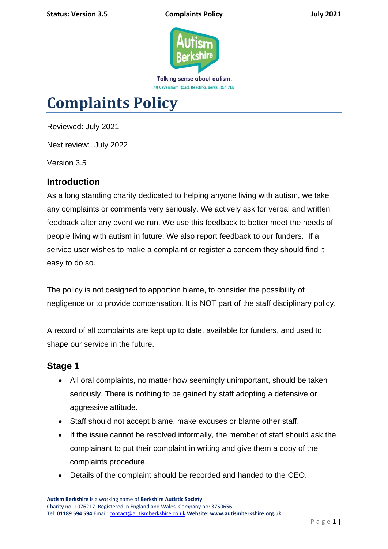

# **Complaints Policy**

Reviewed: July 2021

Next review: July 2022

Version 3.5

### **Introduction**

As a long standing charity dedicated to helping anyone living with autism, we take any complaints or comments very seriously. We actively ask for verbal and written feedback after any event we run. We use this feedback to better meet the needs of people living with autism in future. We also report feedback to our funders. If a service user wishes to make a complaint or register a concern they should find it easy to do so.

The policy is not designed to apportion blame, to consider the possibility of negligence or to provide compensation. It is NOT part of the staff disciplinary policy.

A record of all complaints are kept up to date, available for funders, and used to shape our service in the future.

## **Stage 1**

- All oral complaints, no matter how seemingly unimportant, should be taken seriously. There is nothing to be gained by staff adopting a defensive or aggressive attitude.
- Staff should not accept blame, make excuses or blame other staff.
- If the issue cannot be resolved informally, the member of staff should ask the complainant to put their complaint in writing and give them a copy of the complaints procedure.
- Details of the complaint should be recorded and handed to the CEO.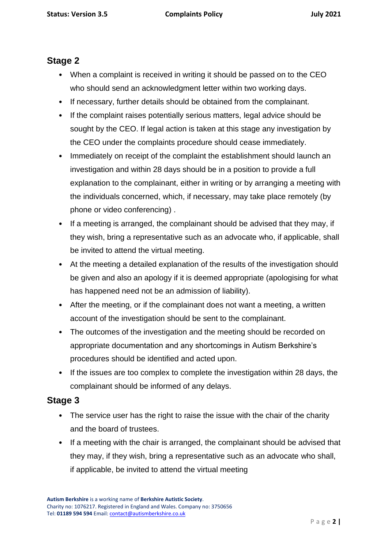### **Stage 2**

- When a complaint is received in writing it should be passed on to the CEO who should send an acknowledgment letter within two working days.
- If necessary, further details should be obtained from the complainant.
- If the complaint raises potentially serious matters, legal advice should be sought by the CEO. If legal action is taken at this stage any investigation by the CEO under the complaints procedure should cease immediately.
- Immediately on receipt of the complaint the establishment should launch an investigation and within 28 days should be in a position to provide a full explanation to the complainant, either in writing or by arranging a meeting with the individuals concerned, which, if necessary, may take place remotely (by phone or video conferencing) .
- If a meeting is arranged, the complainant should be advised that they may, if they wish, bring a representative such as an advocate who, if applicable, shall be invited to attend the virtual meeting.
- At the meeting a detailed explanation of the results of the investigation should be given and also an apology if it is deemed appropriate (apologising for what has happened need not be an admission of liability).
- After the meeting, or if the complainant does not want a meeting, a written account of the investigation should be sent to the complainant.
- The outcomes of the investigation and the meeting should be recorded on appropriate documentation and any shortcomings in Autism Berkshire's procedures should be identified and acted upon.
- If the issues are too complex to complete the investigation within 28 days, the complainant should be informed of any delays.

### **Stage 3**

- The service user has the right to raise the issue with the chair of the charity and the board of trustees.
- If a meeting with the chair is arranged, the complainant should be advised that they may, if they wish, bring a representative such as an advocate who shall, if applicable, be invited to attend the virtual meeting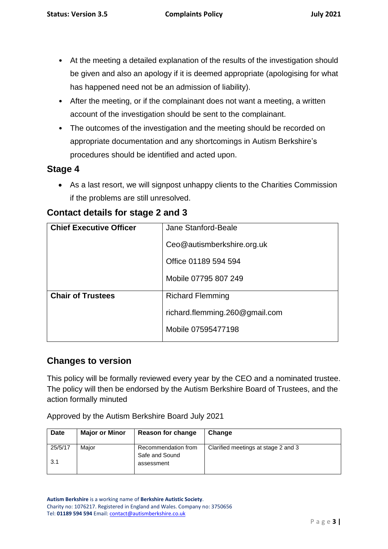- At the meeting a detailed explanation of the results of the investigation should be given and also an apology if it is deemed appropriate (apologising for what has happened need not be an admission of liability).
- After the meeting, or if the complainant does not want a meeting, a written account of the investigation should be sent to the complainant.
- The outcomes of the investigation and the meeting should be recorded on appropriate documentation and any shortcomings in Autism Berkshire's procedures should be identified and acted upon.

### **Stage 4**

• As a last resort, we will signpost unhappy clients to the Charities Commission if the problems are still unresolved.

| <b>Chief Executive Officer</b> | Jane Stanford-Beale            |
|--------------------------------|--------------------------------|
|                                | Ceo@autismberkshire.org.uk     |
|                                | Office 01189 594 594           |
|                                | Mobile 07795 807 249           |
| <b>Chair of Trustees</b>       | <b>Richard Flemming</b>        |
|                                | richard.flemming.260@gmail.com |
|                                | Mobile 07595477198             |

## **Contact details for stage 2 and 3**

### **Changes to version**

This policy will be formally reviewed every year by the CEO and a nominated trustee. The policy will then be endorsed by the Autism Berkshire Board of Trustees, and the action formally minuted

Approved by the Autism Berkshire Board July 2021

| Date    | <b>Major or Minor</b> | <b>Reason for change</b>              | Change                              |
|---------|-----------------------|---------------------------------------|-------------------------------------|
| 25/5/17 | Maior                 | Recommendation from<br>Safe and Sound | Clarified meetings at stage 2 and 3 |
| 3.1     |                       | assessment                            |                                     |

**Autism Berkshire** is a working name of **Berkshire Autistic Society**. Charity no: 1076217. Registered in England and Wales. Company no: 3750656 Tel: **01189 594 594** Email[: contact@autismberkshire.co.uk](mailto:contact@autismberkshire.co.uk)